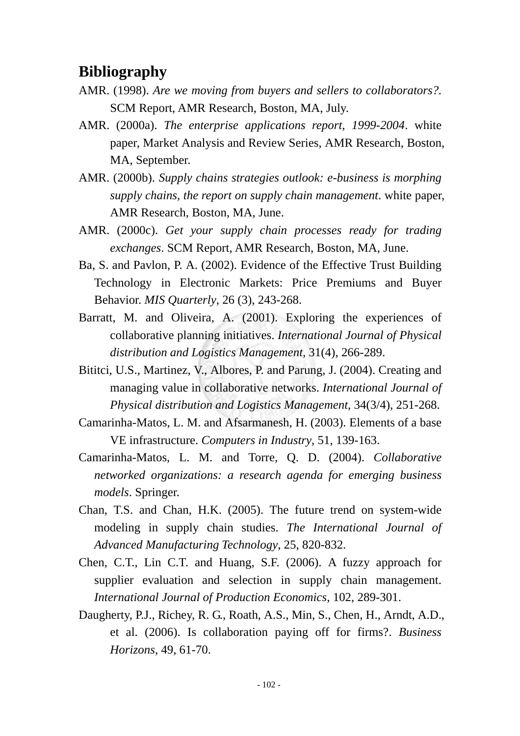## **Bibliography**

- AMR. (1998). *Are we moving from buyers and sellers to collaborators?.*  SCM Report, AMR Research, Boston, MA, July.
- AMR. (2000a). *The enterprise applications report, 1999-2004*. white paper, Market Analysis and Review Series, AMR Research, Boston, MA, September.
- AMR. (2000b). *Supply chains strategies outlook: e-business is morphing supply chains, the report on supply chain management*. white paper, AMR Research, Boston, MA, June.
- AMR. (2000c). *Get your supply chain processes ready for trading exchanges*. SCM Report, AMR Research, Boston, MA, June.
- Ba, S. and Pavlon, P. A. (2002). Evidence of the Effective Trust Building Technology in Electronic Markets: Price Premiums and Buyer Behavior. *MIS Quarterly*, 26 (3), 243-268.
- Barratt, M. and Oliveira, A. (2001). Exploring the experiences of collaborative planning initiatives. *International Journal of Physical distribution and Logistics Management,* 31(4), 266-289.
- Bititci, U.S., Martinez, V., Albores, P. and Parung, J. (2004). Creating and managing value in collaborative networks. *International Journal of Physical distribution and Logistics Management*, 34(3/4), 251-268.
- Camarinha-Matos, L. M. and Afsarmanesh, H. (2003). Elements of a base VE infrastructure. *Computers in Industry*, 51, 139-163.
- Camarinha-Matos, L. M. and Torre, Q. D. (2004). *Collaborative networked organizations: a research agenda for emerging business models*. Springer.
- Chan, T.S. and Chan, H.K. (2005). The future trend on system-wide modeling in supply chain studies. *The International Journal of Advanced Manufacturing Technology*, 25, 820-832.
- Chen, C.T., Lin C.T. and Huang, S.F. (2006). A fuzzy approach for supplier evaluation and selection in supply chain management. *International Journal of Production Economics*, 102, 289-301.
- Daugherty, P.J., Richey, R. G., Roath, A.S., Min, S., Chen, H., Arndt, A.D., et al. (2006). Is collaboration paying off for firms?. *Business Horizons*, 49, 61-70.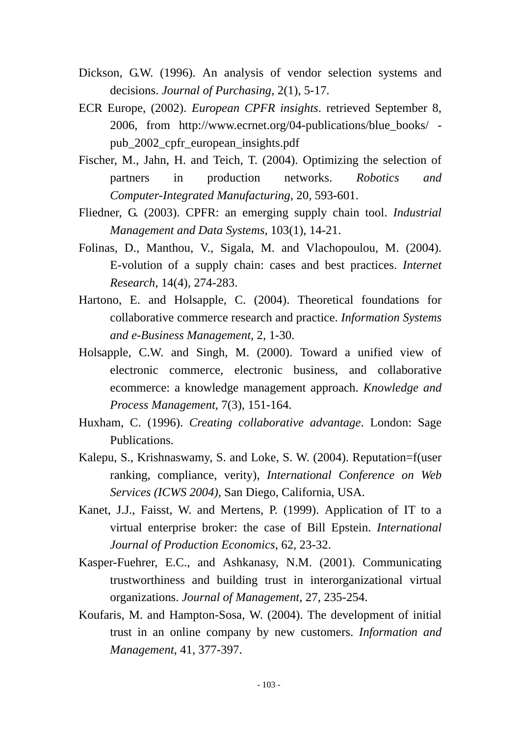- Dickson, G.W. (1996). An analysis of vendor selection systems and decisions. *Journal of Purchasing*, 2(1), 5-17.
- ECR Europe, (2002). *European CPFR insights*. retrieved September 8, 2006, from http://www.ecrnet.org/04-publications/blue\_books/ pub\_2002\_cpfr\_european\_insights.pdf
- Fischer, M., Jahn, H. and Teich, T. (2004). Optimizing the selection of partners in production networks. *Robotics and Computer-Integrated Manufacturing*, 20, 593-601.
- Fliedner, G. (2003). CPFR: an emerging supply chain tool. *Industrial Management and Data Systems*, 103(1), 14-21.
- Folinas, D., Manthou, V., Sigala, M. and Vlachopoulou, M. (2004). E-volution of a supply chain: cases and best practices. *Internet Research*, 14(4), 274-283.
- Hartono, E. and Holsapple, C. (2004). Theoretical foundations for collaborative commerce research and practice. *Information Systems and e-Business Management*, 2, 1-30.
- Holsapple, C.W. and Singh, M. (2000). Toward a unified view of electronic commerce, electronic business, and collaborative ecommerce: a knowledge management approach. *Knowledge and Process Management,* 7(3), 151-164.
- Huxham, C. (1996). *Creating collaborative advantage*. London: Sage Publications.
- Kalepu, S., Krishnaswamy, S. and Loke, S. W. (2004). Reputation=f(user ranking, compliance, verity), *International Conference on Web Services (ICWS 2004)*, San Diego, California, USA.
- Kanet, J.J., Faisst, W. and Mertens, P. (1999). Application of IT to a virtual enterprise broker: the case of Bill Epstein. *International Journal of Production Economics*, 62, 23-32.
- Kasper-Fuehrer, E.C., and Ashkanasy, N.M. (2001). Communicating trustworthiness and building trust in interorganizational virtual organizations. *Journal of Management*, 27, 235-254.
- Koufaris, M. and Hampton-Sosa, W. (2004). The development of initial trust in an online company by new customers. *Information and Management*, 41, 377-397.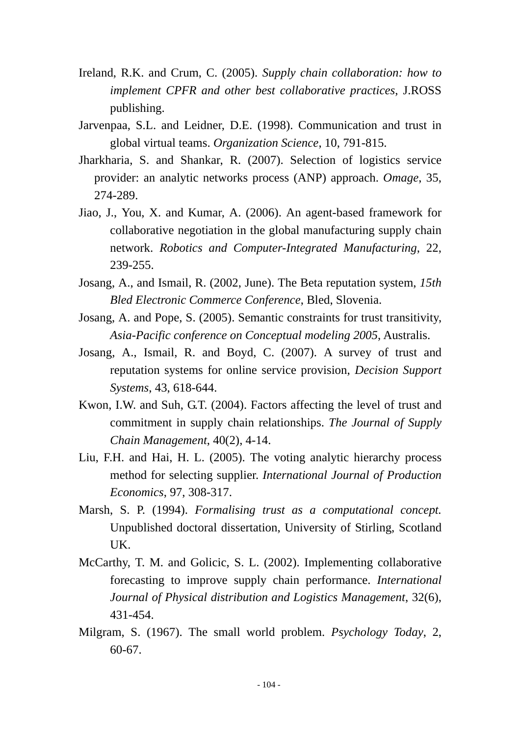- Ireland, R.K. and Crum, C. (2005). *Supply chain collaboration: how to implement CPFR and other best collaborative practices*, J.ROSS publishing.
- Jarvenpaa, S.L. and Leidner, D.E. (1998). Communication and trust in global virtual teams. *Organization Science*, 10, 791-815.
- Jharkharia, S. and Shankar, R. (2007). Selection of logistics service provider: an analytic networks process (ANP) approach. *Omage*, 35, 274-289.
- Jiao, J., You, X. and Kumar, A. (2006). An agent-based framework for collaborative negotiation in the global manufacturing supply chain network. *Robotics and Computer-Integrated Manufacturing*, 22, 239-255.
- Josang, A., and Ismail, R. (2002, June). The Beta reputation system, *15th Bled Electronic Commerce Conference*, Bled, Slovenia.
- Josang, A. and Pope, S. (2005). Semantic constraints for trust transitivity, *Asia-Pacific conference on Conceptual modeling 2005*, Australis.
- Josang, A., Ismail, R. and Boyd, C. (2007). A survey of trust and reputation systems for online service provision, *Decision Support Systems*, 43, 618-644.
- Kwon, I.W. and Suh, G.T. (2004). Factors affecting the level of trust and commitment in supply chain relationships. *The Journal of Supply Chain Management*, 40(2), 4-14.
- Liu, F.H. and Hai, H. L. (2005). The voting analytic hierarchy process method for selecting supplier. *International Journal of Production Economics*, 97, 308-317.
- Marsh, S. P. (1994). *Formalising trust as a computational concept.* Unpublished doctoral dissertation, University of Stirling, Scotland UK.
- McCarthy, T. M. and Golicic, S. L. (2002). Implementing collaborative forecasting to improve supply chain performance. *International Journal of Physical distribution and Logistics Management*, 32(6), 431-454.
- Milgram, S. (1967). The small world problem. *Psychology Today*, 2, 60-67.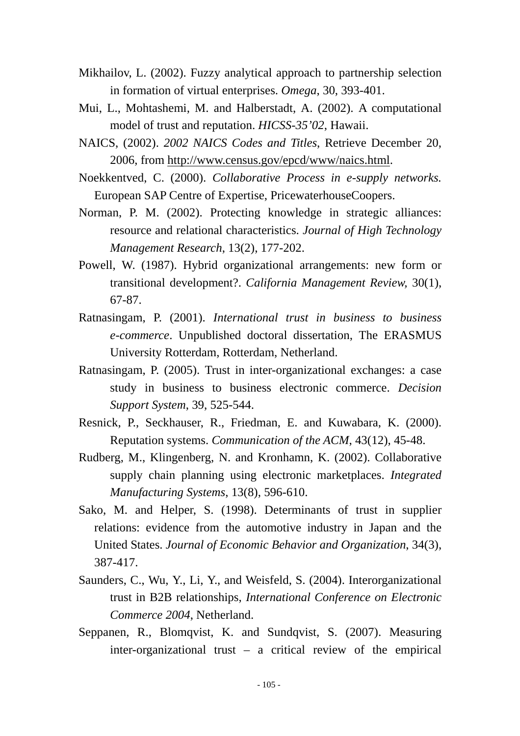- Mikhailov, L. (2002). Fuzzy analytical approach to partnership selection in formation of virtual enterprises. *Omega*, 30, 393-401.
- Mui, L., Mohtashemi, M. and Halberstadt, A. (2002). A computational model of trust and reputation. *HICSS-35'02*, Hawaii.
- NAICS, (2002). *2002 NAICS Codes and Titles*, Retrieve December 20, 2006, from http://www.census.gov/epcd/www/naics.html.
- Noekkentved, C. (2000). *Collaborative Process in e-supply networks.* European SAP Centre of Expertise, PricewaterhouseCoopers.
- Norman, P. M. (2002). Protecting knowledge in strategic alliances: resource and relational characteristics. *Journal of High Technology Management Research*, 13(2), 177-202.
- Powell, W. (1987). Hybrid organizational arrangements: new form or transitional development?. *California Management Review,* 30(1), 67-87.
- Ratnasingam, P. (2001). *International trust in business to business e-commerce*. Unpublished doctoral dissertation, The ERASMUS University Rotterdam, Rotterdam, Netherland.
- Ratnasingam, P. (2005). Trust in inter-organizational exchanges: a case study in business to business electronic commerce. *Decision Support System*, 39, 525-544.
- Resnick, P., Seckhauser, R., Friedman, E. and Kuwabara, K. (2000). Reputation systems. *Communication of the ACM*, 43(12), 45-48.
- Rudberg, M., Klingenberg, N. and Kronhamn, K. (2002). Collaborative supply chain planning using electronic marketplaces. *Integrated Manufacturing Systems*, 13(8), 596-610.
- Sako, M. and Helper, S. (1998). Determinants of trust in supplier relations: evidence from the automotive industry in Japan and the United States. *Journal of Economic Behavior and Organization*, 34(3), 387-417.
- Saunders, C., Wu, Y., Li, Y., and Weisfeld, S. (2004). Interorganizational trust in B2B relationships, *International Conference on Electronic Commerce 2004*, Netherland.
- Seppanen, R., Blomqvist, K. and Sundqvist, S. (2007). Measuring inter-organizational trust – a critical review of the empirical